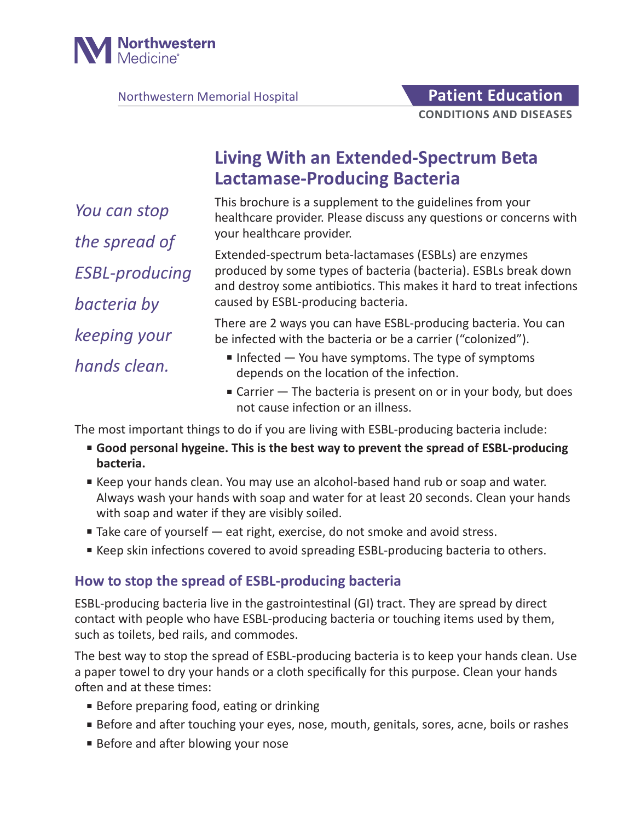

Northwestern Memorial Hospital **Patient Education** 

# **Living With an Extended-Spectrum Beta Lactamase-Producing Bacteria**

*You can stop the spread of ESBL-producing bacteria by keeping your hands clean.*

This brochure is a supplement to the guidelines from your healthcare provider. Please discuss any questions or concerns with your healthcare provider.

Extended-spectrum beta-lactamases (ESBLs) are enzymes produced by some types of bacteria (bacteria). ESBLs break down and destroy some antibiotics. This makes it hard to treat infections caused by ESBL-producing bacteria.

There are 2 ways you can have ESBL-producing bacteria. You can be infected with the bacteria or be a carrier ("colonized").

- Infected You have symptoms. The type of symptoms depends on the location of the infection.
- Carrier The bacteria is present on or in your body, but does not cause infection or an illness.

The most important things to do if you are living with ESBL-producing bacteria include:

- Good personal hygeine. This is the best way to prevent the spread of ESBL-producing **bacteria.**
- Keep your hands clean. You may use an alcohol-based hand rub or soap and water. Always wash your hands with soap and water for at least 20 seconds. Clean your hands with soap and water if they are visibly soiled.
- Take care of yourself eat right, exercise, do not smoke and avoid stress.
- Keep skin infections covered to avoid spreading ESBL-producing bacteria to others.

## **How to stop the spread of ESBL-producing bacteria**

ESBL-producing bacteria live in the gastrointestinal (GI) tract. They are spread by direct contact with people who have ESBL-producing bacteria or touching items used by them, such as toilets, bed rails, and commodes.

The best way to stop the spread of ESBL-producing bacteria is to keep your hands clean. Use a paper towel to dry your hands or a cloth specifically for this purpose. Clean your hands often and at these times:

- Before preparing food, eating or drinking
- Before and after touching your eyes, nose, mouth, genitals, sores, acne, boils or rashes
- Before and after blowing your nose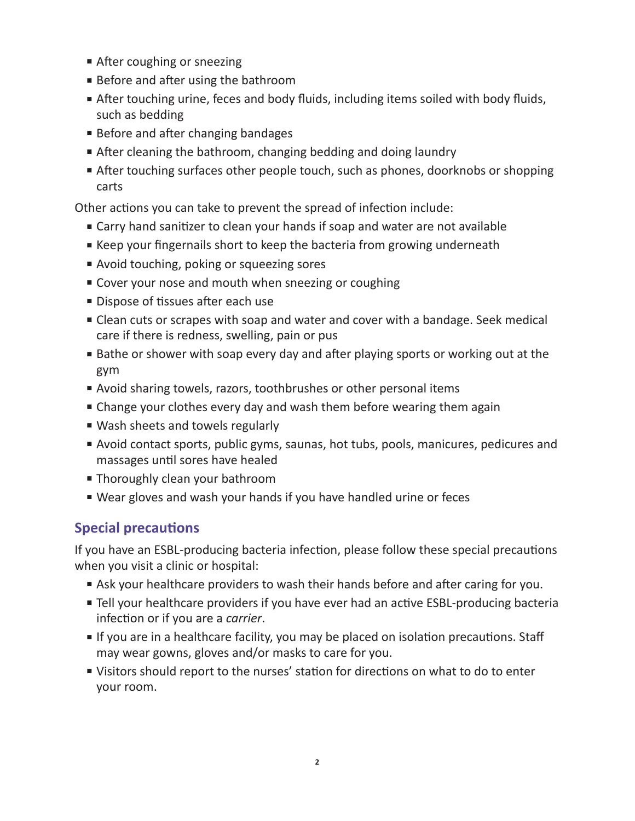- After coughing or sneezing
- Before and after using the bathroom
- After touching urine, feces and body fluids, including items soiled with body fluids, such as bedding
- Before and after changing bandages
- After cleaning the bathroom, changing bedding and doing laundry
- After touching surfaces other people touch, such as phones, doorknobs or shopping carts

Other actions you can take to prevent the spread of infection include:

- Carry hand sanitizer to clean your hands if soap and water are not available
- Keep your fingernails short to keep the bacteria from growing underneath
- Avoid touching, poking or squeezing sores
- Cover your nose and mouth when sneezing or coughing
- Dispose of tissues after each use
- Clean cuts or scrapes with soap and water and cover with a bandage. Seek medical care if there is redness, swelling, pain or pus
- Bathe or shower with soap every day and after playing sports or working out at the gym
- Avoid sharing towels, razors, toothbrushes or other personal items
- Change your clothes every day and wash them before wearing them again
- Wash sheets and towels regularly
- Avoid contact sports, public gyms, saunas, hot tubs, pools, manicures, pedicures and massages until sores have healed
- Thoroughly clean your bathroom
- Wear gloves and wash your hands if you have handled urine or feces

## **Special precautions**

If you have an ESBL-producing bacteria infection, please follow these special precautions when you visit a clinic or hospital:

- Ask your healthcare providers to wash their hands before and after caring for you.
- Tell your healthcare providers if you have ever had an active ESBL-producing bacteria infection or if you are a *carrier*.
- If you are in a healthcare facility, you may be placed on isolation precautions. Staff may wear gowns, gloves and/or masks to care for you.
- Visitors should report to the nurses' station for directions on what to do to enter your room.